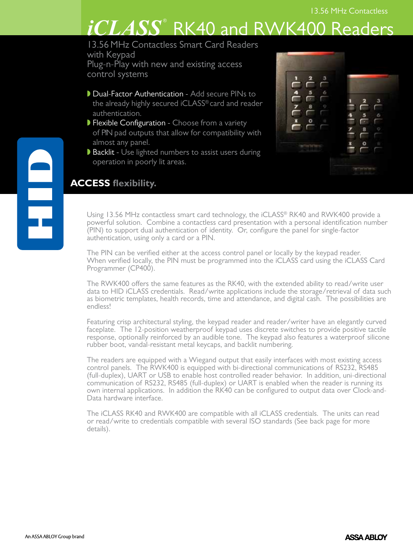# $iCLASS^{\circ}$  RK40 and RWK400 Readers

13.56 MHz Contactless Smart Card Readers with Keypad Plug-n-Play with new and existing access control systems

- Dual-Factor Authentication Add secure PINs to the already highly secured iCLASS® card and reader authentication.
- **Flexible Configuration Choose from a variety**  of PIN pad outputs that allow for compatibility with almost any panel.
- Backlit Use lighted numbers to assist users during operation in poorly lit areas.

| 4<br>5<br>6<br>$\frac{1}{2}$<br>8 | 3<br>$\overline{a}$<br>$\frac{3}{2}$ |
|-----------------------------------|--------------------------------------|
|                                   |                                      |
|                                   | <b>By Convert High St</b>            |

## **ACCESS flexibility.**

Using 13.56 MHz contactless smart card technology, the iCLASS® RK40 and RWK400 provide a powerful solution. Combine a contactless card presentation with a personal identification number (PIN) to support dual authentication of identity. Or, configure the panel for single-factor authentication, using only a card or a PIN.

The PIN can be verified either at the access control panel or locally by the keypad reader. When verified locally, the PIN must be programmed into the iCLASS card using the iCLASS Card Programmer (CP400).

The RWK400 offers the same features as the RK40, with the extended ability to read/write user data to HID iCLASS credentials. Read/write applications include the storage/retrieval of data such as biometric templates, health records, time and attendance, and digital cash. The possibilities are endless!

Featuring crisp architectural styling, the keypad reader and reader/writer have an elegantly curved faceplate. The 12-position weatherproof keypad uses discrete switches to provide positive tactile response, optionally reinforced by an audible tone. The keypad also features a waterproof silicone rubber boot, vandal-resistant metal keycaps, and backlit numbering.

The readers are equipped with a Wiegand output that easily interfaces with most existing access control panels. The RWK400 is equipped with bi-directional communications of RS232, RS485 (full-duplex), UART or USB to enable host controlled reader behavior. In addition, uni-directional communication of RS232, RS485 (full-duplex) or UART is enabled when the reader is running its own internal applications. In addition the RK40 can be configured to output data over Clock-and-Data hardware interface.

The iCLASS RK40 and RWK400 are compatible with all iCLASS credentials. The units can read or read/write to credentials compatible with several ISO standards (See back page for more details).